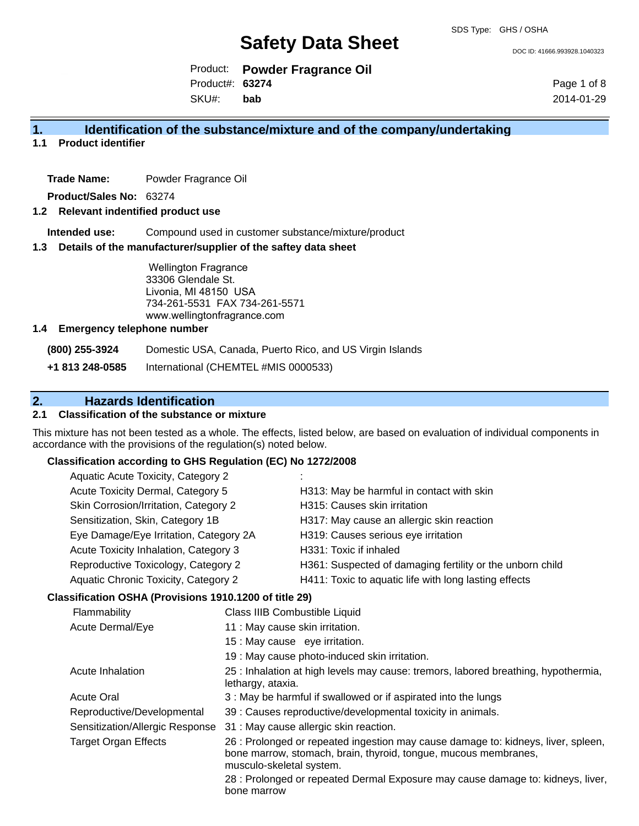DOC ID: 41666.993928.1040323

Product: **Powder Fragrance Oil** SKU#: Product#: **63274 bab**

Page 1 of 8 2014-01-29

### **1. Identification of the substance/mixture and of the company/undertaking**

**1.1 Product identifier**

**Trade Name:** Powder Fragrance Oil

**Product/Sales No:** 63274

### **1.2 Relevant indentified product use**

**Intended use:** Compound used in customer substance/mixture/product

### **1.3 Details of the manufacturer/supplier of the saftey data sheet**

Wellington Fragrance 33306 Glendale St. Livonia, MI 48150 USA 734-261-5531 FAX 734-261-5571 www.wellingtonfragrance.com

### **1.4 Emergency telephone number**

**(800) 255-3924** Domestic USA, Canada, Puerto Rico, and US Virgin Islands

**+1 813 248-0585** International (CHEMTEL #MIS 0000533)

### **2. Hazards Identification**

### **2.1 Classification of the substance or mixture**

This mixture has not been tested as a whole. The effects, listed below, are based on evaluation of individual components in accordance with the provisions of the regulation(s) noted below.

### **Classification according to GHS Regulation (EC) No 1272/2008**

| Aquatic Acute Toxicity, Category 2                  |                                                           |
|-----------------------------------------------------|-----------------------------------------------------------|
| Acute Toxicity Dermal, Category 5                   | H313: May be harmful in contact with skin                 |
| Skin Corrosion/Irritation, Category 2               | H315: Causes skin irritation                              |
| Sensitization, Skin, Category 1B                    | H317: May cause an allergic skin reaction                 |
| Eye Damage/Eye Irritation, Category 2A              | H319: Causes serious eye irritation                       |
| Acute Toxicity Inhalation, Category 3               | H331: Toxic if inhaled                                    |
| Reproductive Toxicology, Category 2                 | H361: Suspected of damaging fertility or the unborn child |
| Aquatic Chronic Toxicity, Category 2                | H411: Toxic to aquatic life with long lasting effects     |
| reification OSHA (Provisions 1910 1200 of title 29) |                                                           |

### **Classification OSHA (Provisions 1910.1200 of title 29)**

| Flammability                    | Class IIIB Combustible Liquid                                                                                                                                                    |
|---------------------------------|----------------------------------------------------------------------------------------------------------------------------------------------------------------------------------|
| Acute Dermal/Eye                | 11 : May cause skin irritation.                                                                                                                                                  |
|                                 | 15 : May cause eye irritation.                                                                                                                                                   |
|                                 | 19 : May cause photo-induced skin irritation.                                                                                                                                    |
| Acute Inhalation                | 25 : Inhalation at high levels may cause: tremors, labored breathing, hypothermia,<br>lethargy, ataxia.                                                                          |
| <b>Acute Oral</b>               | 3: May be harmful if swallowed or if aspirated into the lungs                                                                                                                    |
| Reproductive/Developmental      | 39 : Causes reproductive/developmental toxicity in animals.                                                                                                                      |
| Sensitization/Allergic Response | 31 : May cause allergic skin reaction.                                                                                                                                           |
| <b>Target Organ Effects</b>     | 26 : Prolonged or repeated ingestion may cause damage to: kidneys, liver, spleen,<br>bone marrow, stomach, brain, thyroid, tongue, mucous membranes,<br>musculo-skeletal system. |
|                                 | 28 : Prolonged or repeated Dermal Exposure may cause damage to: kidneys, liver,<br>bone marrow                                                                                   |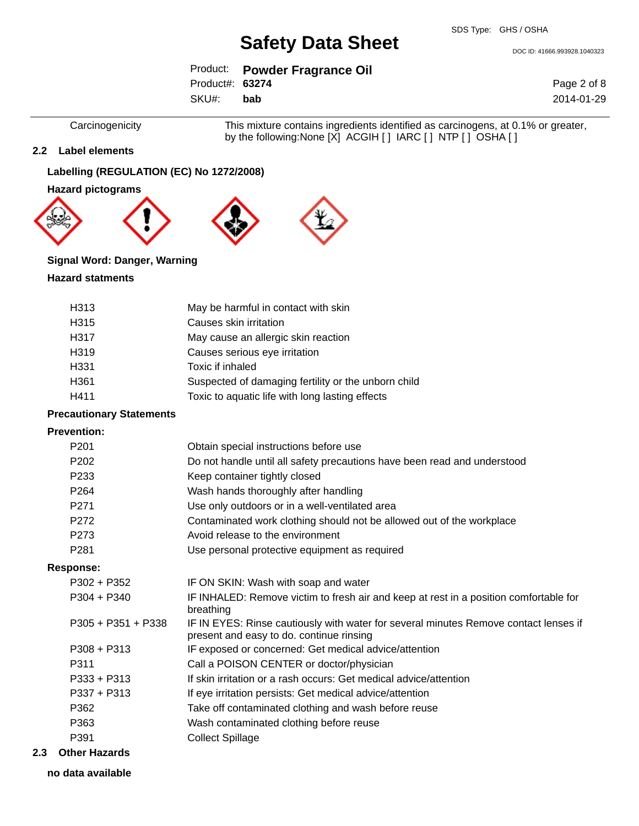DOC ID: 41666.993928.1040323

|                  | Product: Powder Fragrance Oil |
|------------------|-------------------------------|
| Product#: 63274  |                               |
| SKU#: <b>bab</b> |                               |

Page 2 of 8 2014-01-29

Carcinogenicity This mixture contains ingredients identified as carcinogens, at 0.1% or greater, by the following:None [X] ACGIH [ ] IARC [ ] NTP [ ] OSHA [ ]

### **2.2 Label elements**

### **Labelling (REGULATION (EC) No 1272/2008)**

**Hazard pictograms**









### **Signal Word: Danger, Warning**

### **Hazard statments**

| H <sub>3</sub> 13 | May be harmful in contact with skin                 |
|-------------------|-----------------------------------------------------|
| H <sub>315</sub>  | Causes skin irritation                              |
| H317              | May cause an allergic skin reaction                 |
| H <sub>319</sub>  | Causes serious eye irritation                       |
| H331              | Toxic if inhaled                                    |
| H <sub>361</sub>  | Suspected of damaging fertility or the unborn child |
| H411              | Toxic to aquatic life with long lasting effects     |

### **Precautionary Statements**

#### **Prevention:**

| P <sub>201</sub>     | Obtain special instructions before use                                                                                           |
|----------------------|----------------------------------------------------------------------------------------------------------------------------------|
| P <sub>202</sub>     | Do not handle until all safety precautions have been read and understood                                                         |
| P233                 | Keep container tightly closed                                                                                                    |
| P <sub>264</sub>     | Wash hands thoroughly after handling                                                                                             |
| P <sub>271</sub>     | Use only outdoors or in a well-ventilated area                                                                                   |
| P272                 | Contaminated work clothing should not be allowed out of the workplace                                                            |
| P273                 | Avoid release to the environment                                                                                                 |
| P <sub>281</sub>     | Use personal protective equipment as required                                                                                    |
| Response:            |                                                                                                                                  |
| $P302 + P352$        | IF ON SKIN: Wash with soap and water                                                                                             |
| $P304 + P340$        | IF INHALED: Remove victim to fresh air and keep at rest in a position comfortable for<br>breathing                               |
| $P305 + P351 + P338$ | IF IN EYES: Rinse cautiously with water for several minutes Remove contact lenses if<br>present and easy to do. continue rinsing |
| $P308 + P313$        | IF exposed or concerned: Get medical advice/attention                                                                            |
| P311                 | Call a POISON CENTER or doctor/physician                                                                                         |
| $P333 + P313$        | If skin irritation or a rash occurs: Get medical advice/attention                                                                |
| $P337 + P313$        | If eye irritation persists: Get medical advice/attention                                                                         |
| P362                 | Take off contaminated clothing and wash before reuse                                                                             |
| P363                 | Wash contaminated clothing before reuse                                                                                          |
| P391                 | <b>Collect Spillage</b>                                                                                                          |
|                      |                                                                                                                                  |

### **2.3 Other Hazards**

**no data available**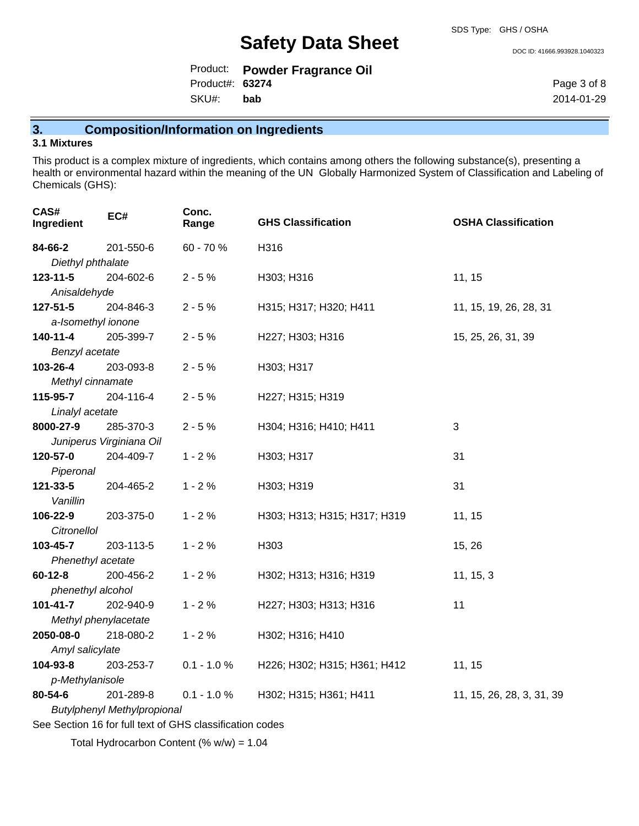SDS Type: GHS / OSHA

DOC ID: 41666.993928.1040323

|                  | Product: Powder Fragrance Oil |
|------------------|-------------------------------|
| Product#: 63274  |                               |
| SKU#: <b>bab</b> |                               |

Page 3 of 8 2014-01-29

## **3. Composition/Information on Ingredients**

### **3.1 Mixtures**

This product is a complex mixture of ingredients, which contains among others the following substance(s), presenting a health or environmental hazard within the meaning of the UN Globally Harmonized System of Classification and Labeling of Chemicals (GHS):

| CAS#<br>Ingredient                                       | EC#                                | Conc.<br>Range | <b>GHS Classification</b>    | <b>OSHA Classification</b> |
|----------------------------------------------------------|------------------------------------|----------------|------------------------------|----------------------------|
| 84-66-2                                                  | 201-550-6                          | 60 - 70 %      | H316                         |                            |
| Diethyl phthalate                                        |                                    |                |                              |                            |
| $123 - 11 - 5$                                           | 204-602-6                          | $2 - 5%$       | H303; H316                   | 11, 15                     |
| Anisaldehyde                                             |                                    |                |                              |                            |
| 127-51-5                                                 | 204-846-3                          | $2 - 5%$       | H315; H317; H320; H411       | 11, 15, 19, 26, 28, 31     |
| a-Isomethyl ionone                                       |                                    |                |                              |                            |
| 140-11-4                                                 | 205-399-7                          | $2 - 5%$       | H227; H303; H316             | 15, 25, 26, 31, 39         |
| Benzyl acetate                                           |                                    |                |                              |                            |
| 103-26-4                                                 | 203-093-8                          | $2 - 5%$       | H303; H317                   |                            |
| Methyl cinnamate                                         |                                    |                |                              |                            |
| 115-95-7                                                 | 204-116-4                          | $2 - 5%$       | H227; H315; H319             |                            |
| Linalyl acetate                                          |                                    |                |                              |                            |
| 8000-27-9                                                | 285-370-3                          | $2 - 5%$       | H304; H316; H410; H411       | 3                          |
|                                                          | Juniperus Virginiana Oil           |                |                              |                            |
| 120-57-0                                                 | 204-409-7                          | $1 - 2%$       | H303; H317                   | 31                         |
| Piperonal                                                |                                    |                |                              |                            |
| 121-33-5                                                 | 204-465-2                          | $1 - 2%$       | H303; H319                   | 31                         |
| Vanillin                                                 |                                    |                |                              |                            |
| 106-22-9                                                 | 203-375-0                          | $1 - 2%$       | H303; H313; H315; H317; H319 | 11, 15                     |
| <b>Citronellol</b>                                       |                                    |                |                              |                            |
| 103-45-7                                                 | 203-113-5                          | $1 - 2%$       | H303                         | 15, 26                     |
| Phenethyl acetate                                        |                                    |                |                              |                            |
| $60 - 12 - 8$                                            | 200-456-2                          | $1 - 2%$       | H302; H313; H316; H319       | 11, 15, 3                  |
| phenethyl alcohol                                        |                                    |                |                              |                            |
| $101 - 41 - 7$                                           | 202-940-9                          | $1 - 2%$       | H227; H303; H313; H316       | 11                         |
| Methyl phenylacetate<br>2050-08-0                        | 218-080-2                          | $1 - 2%$       | H302; H316; H410             |                            |
| Amyl salicylate                                          |                                    |                |                              |                            |
| 104-93-8                                                 | 203-253-7                          | $0.1 - 1.0 %$  | H226; H302; H315; H361; H412 | 11, 15                     |
| p-Methylanisole                                          |                                    |                |                              |                            |
| 80-54-6                                                  | 201-289-8                          | $0.1 - 1.0 %$  | H302; H315; H361; H411       | 11, 15, 26, 28, 3, 31, 39  |
|                                                          | <b>Butylphenyl Methylpropional</b> |                |                              |                            |
|                                                          |                                    |                |                              |                            |
| See Section 16 for full text of GHS classification codes |                                    |                |                              |                            |

Total Hydrocarbon Content (% w/w) = 1.04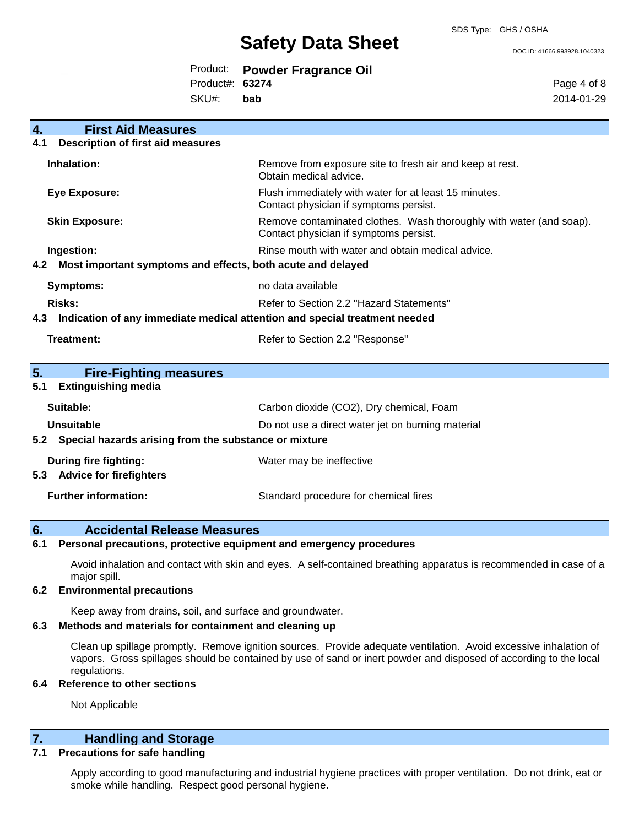DOC ID: 41666.993928.1040323

|                 | Product: Powder Fragrance Oil |
|-----------------|-------------------------------|
| Product#: 63274 |                               |

SKU#: **bab** Page 4 of 8 2014-01-29

| 4.          | <b>First Aid Measures</b>                                                  |                                                                                                               |  |  |
|-------------|----------------------------------------------------------------------------|---------------------------------------------------------------------------------------------------------------|--|--|
| 4.1         | <b>Description of first aid measures</b>                                   |                                                                                                               |  |  |
| Inhalation: |                                                                            | Remove from exposure site to fresh air and keep at rest.<br>Obtain medical advice.                            |  |  |
|             | <b>Eye Exposure:</b>                                                       | Flush immediately with water for at least 15 minutes.<br>Contact physician if symptoms persist.               |  |  |
|             | <b>Skin Exposure:</b>                                                      | Remove contaminated clothes. Wash thoroughly with water (and soap).<br>Contact physician if symptoms persist. |  |  |
|             | Ingestion:                                                                 | Rinse mouth with water and obtain medical advice.                                                             |  |  |
| 4.2         | Most important symptoms and effects, both acute and delayed                |                                                                                                               |  |  |
|             | <b>Symptoms:</b>                                                           | no data available                                                                                             |  |  |
|             | <b>Risks:</b>                                                              | Refer to Section 2.2 "Hazard Statements"                                                                      |  |  |
| 4.3         | Indication of any immediate medical attention and special treatment needed |                                                                                                               |  |  |
|             | Treatment:                                                                 | Refer to Section 2.2 "Response"                                                                               |  |  |
| 5.          | <b>Fire-Fighting measures</b>                                              |                                                                                                               |  |  |
| 5.1         | <b>Extinguishing media</b>                                                 |                                                                                                               |  |  |
|             | Suitable:                                                                  | Carbon dioxide (CO2), Dry chemical, Foam                                                                      |  |  |
|             | <b>Unsuitable</b><br>Do not use a direct water jet on burning material     |                                                                                                               |  |  |
| 5.2         | Special hazards arising from the substance or mixture                      |                                                                                                               |  |  |
|             | <b>During fire fighting:</b>                                               | Water may be ineffective                                                                                      |  |  |
|             | 5.3 Advice for firefighters                                                |                                                                                                               |  |  |
|             | <b>Further information:</b>                                                | Standard procedure for chemical fires                                                                         |  |  |

### **6. Accidental Release Measures**

**6.1 Personal precautions, protective equipment and emergency procedures**

Avoid inhalation and contact with skin and eyes. A self-contained breathing apparatus is recommended in case of a major spill.

#### **6.2 Environmental precautions**

Keep away from drains, soil, and surface and groundwater.

### **6.3 Methods and materials for containment and cleaning up**

Clean up spillage promptly. Remove ignition sources. Provide adequate ventilation. Avoid excessive inhalation of vapors. Gross spillages should be contained by use of sand or inert powder and disposed of according to the local regulations.

### **6.4 Reference to other sections**

Not Applicable

### **7. Handling and Storage**

### **7.1 Precautions for safe handling**

Apply according to good manufacturing and industrial hygiene practices with proper ventilation. Do not drink, eat or smoke while handling. Respect good personal hygiene.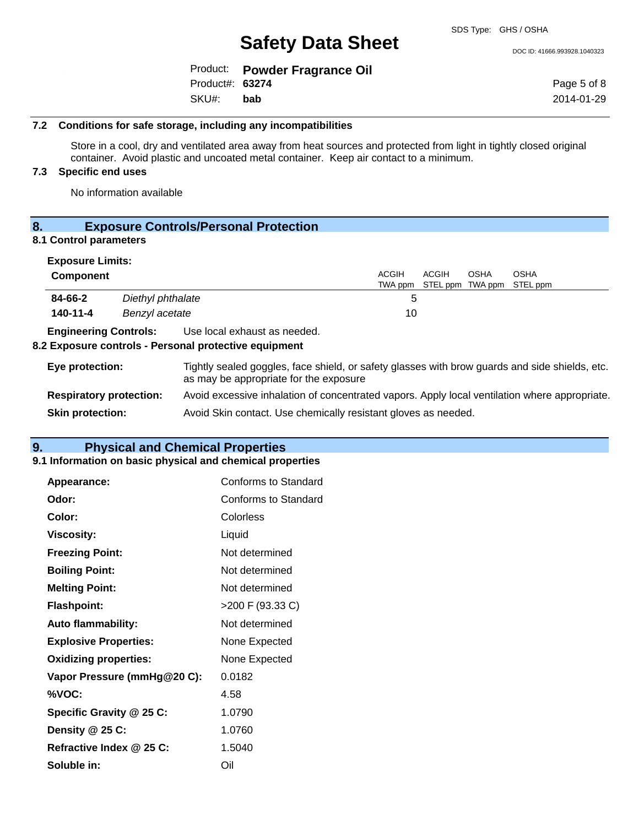DOC ID: 41666.993928.1040323

|                  | Product: Powder Fragrance Oil |
|------------------|-------------------------------|
| Product#: 63274  |                               |
| SKU#: <b>bab</b> |                               |

Page 5 of 8 2014-01-29

### **7.2 Conditions for safe storage, including any incompatibilities**

Store in a cool, dry and ventilated area away from heat sources and protected from light in tightly closed original container. Avoid plastic and uncoated metal container. Keep air contact to a minimum.

### **7.3 Specific end uses**

No information available

### **8. Exposure Controls/Personal Protection**

### **8.1 Control parameters**

| <b>Exposure Limits:</b>        |                   |                                                                                                                                          |                                                                |              |                                 |                         |
|--------------------------------|-------------------|------------------------------------------------------------------------------------------------------------------------------------------|----------------------------------------------------------------|--------------|---------------------------------|-------------------------|
| <b>Component</b>               |                   |                                                                                                                                          | <b>ACGIH</b><br>TWA ppm                                        | <b>ACGIH</b> | <b>OSHA</b><br>STEL ppm TWA ppm | <b>OSHA</b><br>STEL ppm |
| 84-66-2                        | Diethyl phthalate |                                                                                                                                          | 5                                                              |              |                                 |                         |
| 140-11-4                       | Benzyl acetate    |                                                                                                                                          | 10                                                             |              |                                 |                         |
| <b>Engineering Controls:</b>   |                   | Use local exhaust as needed.<br>8.2 Exposure controls - Personal protective equipment                                                    |                                                                |              |                                 |                         |
|                                |                   |                                                                                                                                          |                                                                |              |                                 |                         |
| Eye protection:                |                   | Tightly sealed goggles, face shield, or safety glasses with brow guards and side shields, etc.<br>as may be appropriate for the exposure |                                                                |              |                                 |                         |
| <b>Respiratory protection:</b> |                   | Avoid excessive inhalation of concentrated vapors. Apply local ventilation where appropriate.                                            |                                                                |              |                                 |                         |
| <b>Skin protection:</b>        |                   |                                                                                                                                          | Avoid Skin contact. Use chemically resistant gloves as needed. |              |                                 |                         |

### **9. Physical and Chemical Properties**

### **9.1 Information on basic physical and chemical properties**

| Appearance:                  | <b>Conforms to Standard</b> |
|------------------------------|-----------------------------|
| Odor:                        | Conforms to Standard        |
| Color:                       | Colorless                   |
| <b>Viscosity:</b>            | Liquid                      |
| <b>Freezing Point:</b>       | Not determined              |
| <b>Boiling Point:</b>        | Not determined              |
| <b>Melting Point:</b>        | Not determined              |
| <b>Flashpoint:</b>           | >200 F (93.33 C)            |
| <b>Auto flammability:</b>    | Not determined              |
| <b>Explosive Properties:</b> | None Expected               |
| <b>Oxidizing properties:</b> | None Expected               |
| Vapor Pressure (mmHg@20 C):  | 0.0182                      |
| %VOC:                        | 4.58                        |
| Specific Gravity @ 25 C:     | 1.0790                      |
| Density @ 25 C:              | 1.0760                      |
| Refractive Index @ 25 C:     | 1.5040                      |
| Soluble in:                  | Oil                         |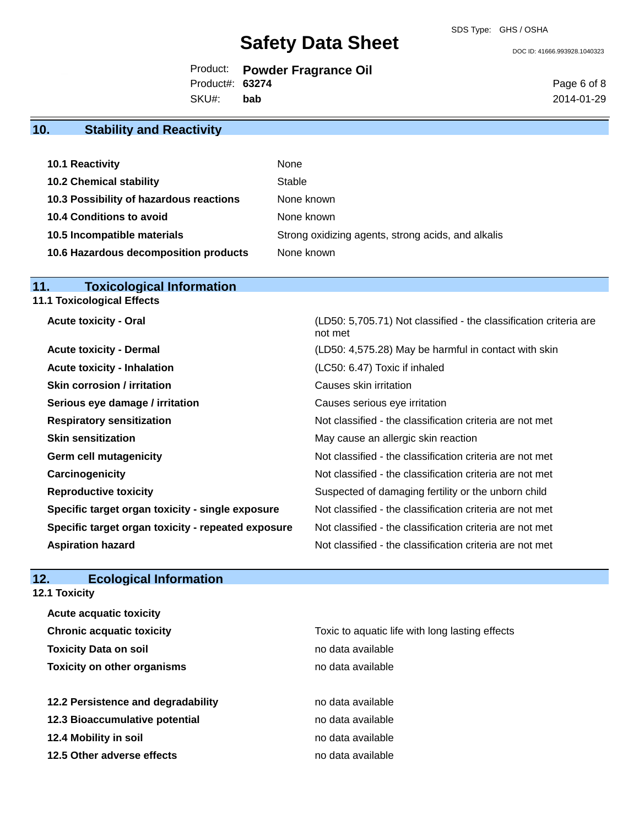DOC ID: 41666.993928.1040323

|  |  | Product: Powder Fragrance Oil |  |
|--|--|-------------------------------|--|
|--|--|-------------------------------|--|

Product#: **63274**

SKU#: **bab** Page 6 of 8 2014-01-29

### **10. Stability and Reactivity**

| 10.1 Reactivity                         | None                                               |
|-----------------------------------------|----------------------------------------------------|
| <b>10.2 Chemical stability</b>          | Stable                                             |
| 10.3 Possibility of hazardous reactions | None known                                         |
| 10.4 Conditions to avoid                | None known                                         |
| 10.5 Incompatible materials             | Strong oxidizing agents, strong acids, and alkalis |
| 10.6 Hazardous decomposition products   | None known                                         |

### **11. Toxicological Information**

**11.1 Toxicological Effects**

Acute toxicity - Oral **Acute toxicity - Oral** (LD50: 5,705.71) Not classified - the classification criteria are

|                                                    | not met                                                  |
|----------------------------------------------------|----------------------------------------------------------|
| <b>Acute toxicity - Dermal</b>                     | (LD50: 4,575.28) May be harmful in contact with skin     |
| <b>Acute toxicity - Inhalation</b>                 | (LC50: 6.47) Toxic if inhaled                            |
| <b>Skin corrosion / irritation</b>                 | Causes skin irritation                                   |
| Serious eye damage / irritation                    | Causes serious eye irritation                            |
| <b>Respiratory sensitization</b>                   | Not classified - the classification criteria are not met |
| <b>Skin sensitization</b>                          | May cause an allergic skin reaction                      |
| <b>Germ cell mutagenicity</b>                      | Not classified - the classification criteria are not met |
| Carcinogenicity                                    | Not classified - the classification criteria are not met |
| <b>Reproductive toxicity</b>                       | Suspected of damaging fertility or the unborn child      |
| Specific target organ toxicity - single exposure   | Not classified - the classification criteria are not met |
| Specific target organ toxicity - repeated exposure | Not classified - the classification criteria are not met |
| <b>Aspiration hazard</b>                           | Not classified - the classification criteria are not met |

### **12. Ecological Information**

**12.1 Toxicity**

| <b>Acute acquatic toxicity</b>     |                                                 |
|------------------------------------|-------------------------------------------------|
| <b>Chronic acquatic toxicity</b>   | Toxic to aquatic life with long lasting effects |
| <b>Toxicity Data on soil</b>       | no data available                               |
| <b>Toxicity on other organisms</b> | no data available                               |
| 12.2 Persistence and degradability | no data available                               |
| 12.3 Bioaccumulative potential     | no data available                               |
| 12.4 Mobility in soil              | no data available                               |
| 12.5 Other adverse effects         | no data available                               |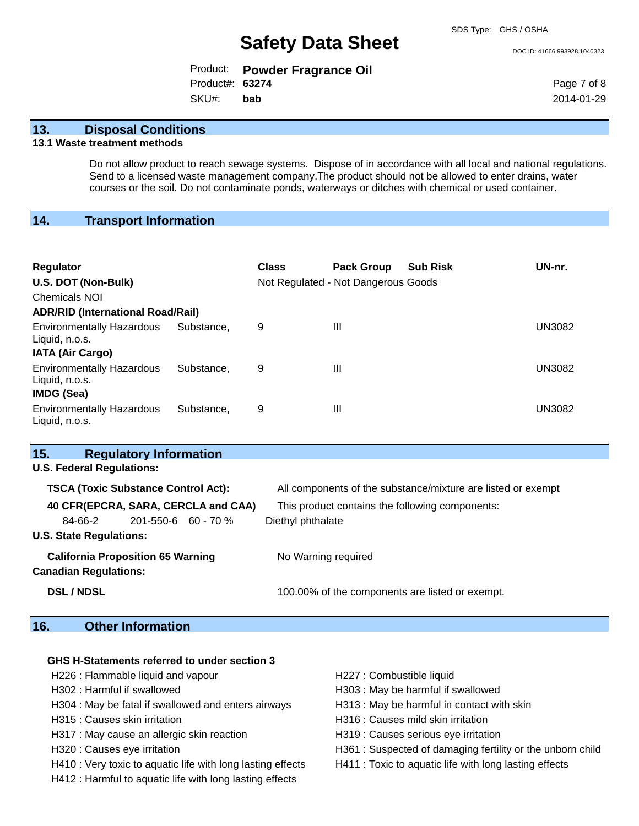DOC ID: 41666.993928.1040323

|                  | Product: Powder Fragrance Oil |
|------------------|-------------------------------|
| Product#: 63274  |                               |
| SKU#: <b>bab</b> |                               |

Page 7 of 8 2014-01-29

### **13. Disposal Conditions**

### **13.1 Waste treatment methods**

Do not allow product to reach sewage systems. Dispose of in accordance with all local and national regulations. Send to a licensed waste management company.The product should not be allowed to enter drains, water courses or the soil. Do not contaminate ponds, waterways or ditches with chemical or used container.

### **14. Transport Information**

| <b>Regulator</b><br>U.S. DOT (Non-Bulk)<br><b>Chemicals NOI</b> |            | <b>Class</b> | <b>Pack Group</b><br>Not Regulated - Not Dangerous Goods | <b>Sub Risk</b> | UN-nr.        |
|-----------------------------------------------------------------|------------|--------------|----------------------------------------------------------|-----------------|---------------|
| <b>ADR/RID (International Road/Rail)</b>                        |            |              |                                                          |                 |               |
| <b>Environmentally Hazardous</b><br>Liquid, n.o.s.              | Substance. | 9            | $\mathbf{III}$                                           |                 | <b>UN3082</b> |
| <b>IATA (Air Cargo)</b>                                         |            |              |                                                          |                 |               |
| <b>Environmentally Hazardous</b><br>Liquid, n.o.s.              | Substance. | 9            | $\mathbf{III}$                                           |                 | <b>UN3082</b> |
| <b>IMDG (Sea)</b>                                               |            |              |                                                          |                 |               |
| <b>Environmentally Hazardous</b><br>Liquid, n.o.s.              | Substance. | 9            | $\mathbf{III}$                                           |                 | <b>UN3082</b> |

| 15.                                        | <b>Regulatory Information</b>            |                                                              |
|--------------------------------------------|------------------------------------------|--------------------------------------------------------------|
|                                            | <b>U.S. Federal Regulations:</b>         |                                                              |
| <b>TSCA (Toxic Substance Control Act):</b> |                                          | All components of the substance/mixture are listed or exempt |
|                                            | 40 CFR(EPCRA, SARA, CERCLA and CAA)      | This product contains the following components:              |
| 84-66-2                                    | 201-550-6 60 - 70 %                      | Diethyl phthalate                                            |
| <b>U.S. State Regulations:</b>             |                                          |                                                              |
| <b>Canadian Regulations:</b>               | <b>California Proposition 65 Warning</b> | No Warning required                                          |
| <b>DSL / NDSL</b>                          |                                          | 100.00% of the components are listed or exempt.              |

### **16. Other Information**

#### **GHS H-Statements referred to under section 3**

H226 : Flammable liquid and vapour **H227** : Combustible liquid

H304 : May be fatal if swallowed and enters airways H313 : May be harmful in contact with skin

H317 : May cause an allergic skin reaction **H**319 : Causes serious eye irritation

H410 : Very toxic to aquatic life with long lasting effects H411 : Toxic to aquatic life with long lasting effects

H412 : Harmful to aquatic life with long lasting effects

- 
- H302 : Harmful if swallowed H303 : May be harmful if swallowed
	-
- H315 : Causes skin irritation et al. (a) H316 : Causes mild skin irritation
	-
- H320 : Causes eye irritation **H361** : Suspected of damaging fertility or the unborn child
	-